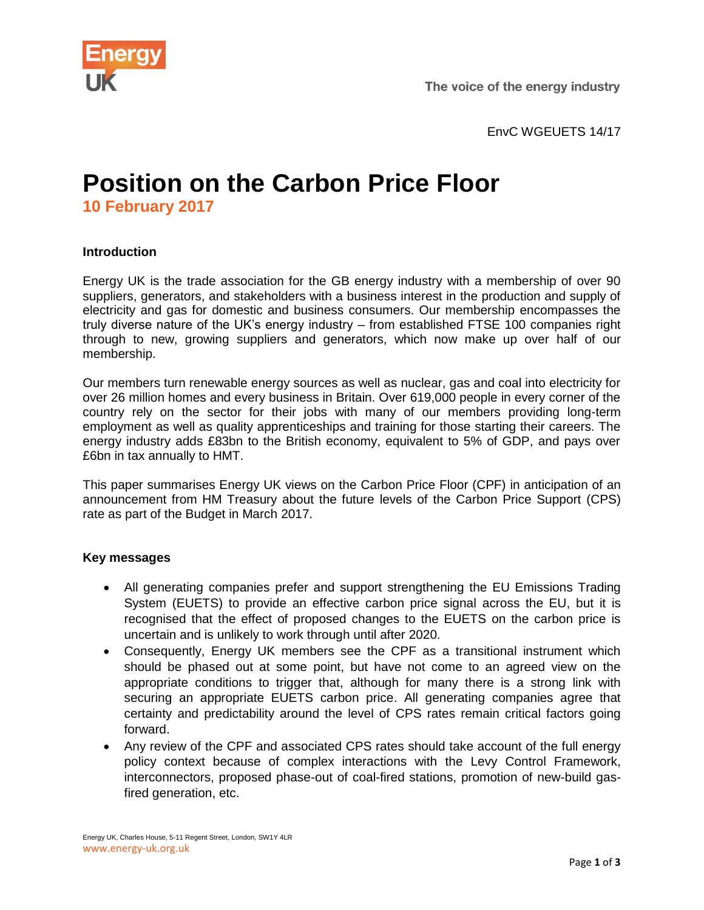

EnvC WGEUETS 14/17

## **Position on the Carbon Price Floor 10 February 2017**

## **Introduction**

Energy UK is the trade association for the GB energy industry with a membership of over 90 suppliers, generators, and stakeholders with a business interest in the production and supply of electricity and gas for domestic and business consumers. Our membership encompasses the truly diverse nature of the UK's energy industry – from established FTSE 100 companies right through to new, growing suppliers and generators, which now make up over half of our membership.

Our members turn renewable energy sources as well as nuclear, gas and coal into electricity for over 26 million homes and every business in Britain. Over 619,000 people in every corner of the country rely on the sector for their jobs with many of our members providing long-term employment as well as quality apprenticeships and training for those starting their careers. The energy industry adds £83bn to the British economy, equivalent to 5% of GDP, and pays over £6bn in tax annually to HMT.

This paper summarises Energy UK views on the Carbon Price Floor (CPF) in anticipation of an announcement from HM Treasury about the future levels of the Carbon Price Support (CPS) rate as part of the Budget in March 2017.

## **Key messages**

- All generating companies prefer and support strengthening the EU Emissions Trading System (EUETS) to provide an effective carbon price signal across the EU, but it is recognised that the effect of proposed changes to the EUETS on the carbon price is uncertain and is unlikely to work through until after 2020.
- Consequently, Energy UK members see the CPF as a transitional instrument which should be phased out at some point, but have not come to an agreed view on the appropriate conditions to trigger that, although for many there is a strong link with securing an appropriate EUETS carbon price. All generating companies agree that certainty and predictability around the level of CPS rates remain critical factors going forward.
- Any review of the CPF and associated CPS rates should take account of the full energy policy context because of complex interactions with the Levy Control Framework, interconnectors, proposed phase-out of coal-fired stations, promotion of new-build gasfired generation, etc.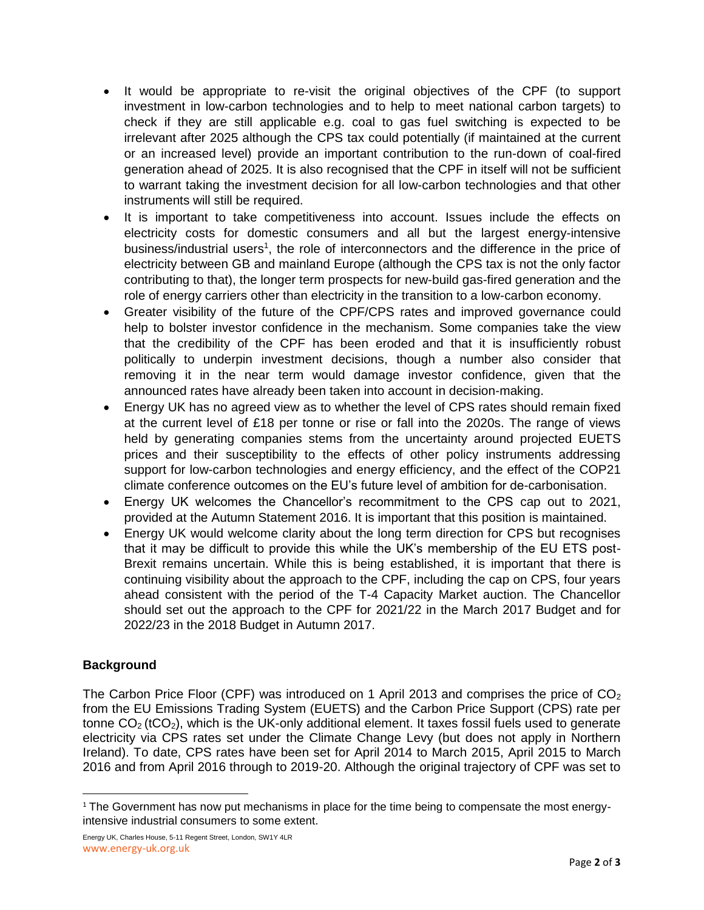- It would be appropriate to re-visit the original objectives of the CPF (to support investment in low-carbon technologies and to help to meet national carbon targets) to check if they are still applicable e.g. coal to gas fuel switching is expected to be irrelevant after 2025 although the CPS tax could potentially (if maintained at the current or an increased level) provide an important contribution to the run-down of coal-fired generation ahead of 2025. It is also recognised that the CPF in itself will not be sufficient to warrant taking the investment decision for all low-carbon technologies and that other instruments will still be required.
- It is important to take competitiveness into account. Issues include the effects on electricity costs for domestic consumers and all but the largest energy-intensive business/industrial users<sup>1</sup>, the role of interconnectors and the difference in the price of electricity between GB and mainland Europe (although the CPS tax is not the only factor contributing to that), the longer term prospects for new-build gas-fired generation and the role of energy carriers other than electricity in the transition to a low-carbon economy.
- Greater visibility of the future of the CPF/CPS rates and improved governance could help to bolster investor confidence in the mechanism. Some companies take the view that the credibility of the CPF has been eroded and that it is insufficiently robust politically to underpin investment decisions, though a number also consider that removing it in the near term would damage investor confidence, given that the announced rates have already been taken into account in decision-making.
- Energy UK has no agreed view as to whether the level of CPS rates should remain fixed at the current level of £18 per tonne or rise or fall into the 2020s. The range of views held by generating companies stems from the uncertainty around projected EUETS prices and their susceptibility to the effects of other policy instruments addressing support for low-carbon technologies and energy efficiency, and the effect of the COP21 climate conference outcomes on the EU's future level of ambition for de-carbonisation.
- Energy UK welcomes the Chancellor's recommitment to the CPS cap out to 2021, provided at the Autumn Statement 2016. It is important that this position is maintained.
- Energy UK would welcome clarity about the long term direction for CPS but recognises that it may be difficult to provide this while the UK's membership of the EU ETS post-Brexit remains uncertain. While this is being established, it is important that there is continuing visibility about the approach to the CPF, including the cap on CPS, four years ahead consistent with the period of the T-4 Capacity Market auction. The Chancellor should set out the approach to the CPF for 2021/22 in the March 2017 Budget and for 2022/23 in the 2018 Budget in Autumn 2017.

## **Background**

The Carbon Price Floor (CPF) was introduced on 1 April 2013 and comprises the price of  $CO<sub>2</sub>$ from the EU Emissions Trading System (EUETS) and the Carbon Price Support (CPS) rate per tonne  $CO<sub>2</sub>$  (tCO<sub>2</sub>), which is the UK-only additional element. It taxes fossil fuels used to generate electricity via CPS rates set under the Climate Change Levy (but does not apply in Northern Ireland). To date, CPS rates have been set for April 2014 to March 2015, April 2015 to March 2016 and from April 2016 through to 2019-20. Although the original trajectory of CPF was set to

l <sup>1</sup> The Government has now put mechanisms in place for the time being to compensate the most energyintensive industrial consumers to some extent.